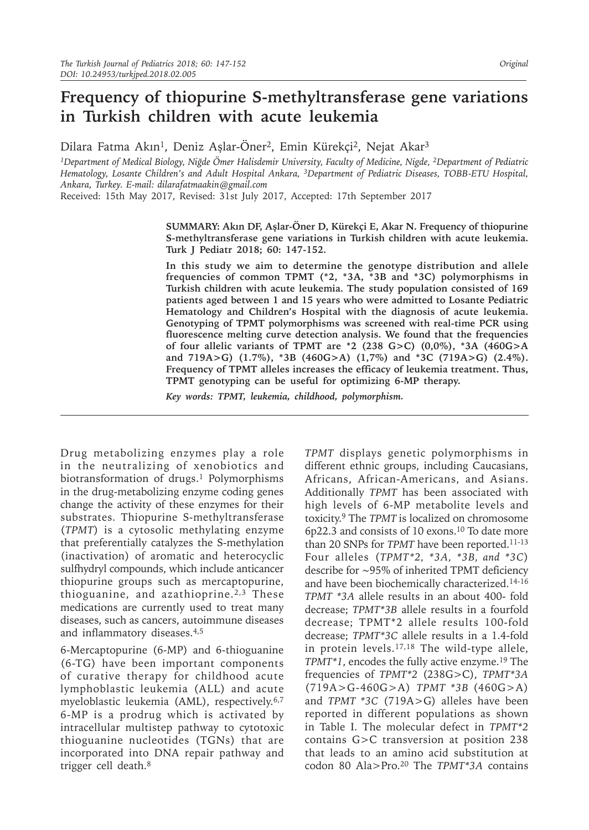# **Frequency of thiopurine S-methyltransferase gene variations in Turkish children with acute leukemia**

Dilara Fatma Akın<sup>1</sup>, Deniz Aşlar-Öner<sup>2</sup>, Emin Kürekçi<sup>2</sup>, Nejat Akar<sup>3</sup>

*<sup>1</sup>Department of Medical Biology, Niğde Ömer Halisdemir University, Faculty of Medicine, Nigde, 2Department of Pediatric Hematology, Losante Children's and Adult Hospital Ankara, 3Department of Pediatric Diseases, TOBB-ETU Hospital, Ankara, Turkey. E-mail: dilarafatmaakin@gmail.com*

Received: 15th May 2017, Revised: 31st July 2017, Accepted: 17th September 2017

**SUMMARY: Akın DF, Aşlar-Öner D, Kürekçi E, Akar N. Frequency of thiopurine S-methyltransferase gene variations in Turkish children with acute leukemia. Turk J Pediatr 2018; 60: 147-152.**

**In this study we aim to determine the genotype distribution and allele frequencies of common TPMT (\*2, \*3A, \*3B and \*3C) polymorphisms in Turkish children with acute leukemia. The study population consisted of 169 patients aged between 1 and 15 years who were admitted to Losante Pediatric Hematology and Children's Hospital with the diagnosis of acute leukemia. Genotyping of TPMT polymorphisms was screened with real-time PCR using fluorescence melting curve detection analysis. We found that the frequencies of four allelic variants of TPMT are \*2 (238 G>C) (0,0%), \*3A (460G>A and 719A>G) (1.7%), \*3B (460G>A) (1,7%) and \*3C (719A>G) (2.4%). Frequency of TPMT alleles increases the efficacy of leukemia treatment. Thus, TPMT genotyping can be useful for optimizing 6-MP therapy.**

*Key words: TPMT, leukemia, childhood, polymorphism.*

Drug metabolizing enzymes play a role in the neutralizing of xenobiotics and biotransformation of drugs.<sup>1</sup> Polymorphisms in the drug-metabolizing enzyme coding genes change the activity of these enzymes for their substrates. Thiopurine S-methyltransferase (*TPMT*) is a cytosolic methylating enzyme that preferentially catalyzes the S-methylation (inactivation) of aromatic and heterocyclic sulfhydryl compounds, which include anticancer thiopurine groups such as mercaptopurine, thioguanine, and azathioprine.<sup>2,3</sup> These medications are currently used to treat many diseases, such as cancers, autoimmune diseases and inflammatory diseases.4,5

6-Mercaptopurine (6-MP) and 6-thioguanine (6-TG) have been important components of curative therapy for childhood acute lymphoblastic leukemia (ALL) and acute myeloblastic leukemia (AML), respectively.<sup>6,7</sup> 6-MP is a prodrug which is activated by intracellular multistep pathway to cytotoxic thioguanine nucleotides (TGNs) that are incorporated into DNA repair pathway and trigger cell death.8

*TPMT* displays genetic polymorphisms in different ethnic groups, including Caucasians, Africans, African-Americans, and Asians. Additionally *TPMT* has been associated with high levels of 6-MP metabolite levels and toxicity.9 The *TPMT* is localized on chromosome 6p22.3 and consists of 10 exons.10 To date more than 20 SNPs for *TPMT* have been reported.<sup>11-13</sup> Four alleles (*TPMT\*2, \*3A, \*3B, and \*3C*) describe for ∼95% of inherited TPMT deficiency and have been biochemically characterized.14-16 *TPMT \*3A* allele results in an about 400- fold decrease; *TPMT\*3B* allele results in a fourfold decrease; TPMT\*2 allele results 100-fold decrease; *TPMT\*3C* allele results in a 1.4-fold in protein levels.17,18 The wild-type allele, *TPMT\*1*, encodes the fully active enzyme.19 The frequencies of *TPMT\*2* (238G>C), *TPMT\*3A* (719A>G-460G>A) *TPMT \*3B* (460G>A) and *TPMT \*3C* (719A>G) alleles have been reported in different populations as shown in Table I. The molecular defect in *TPMT\*2* contains G>C transversion at position 238 that leads to an amino acid substitution at codon 80 Ala>Pro.20 The *TPMT\*3A* contains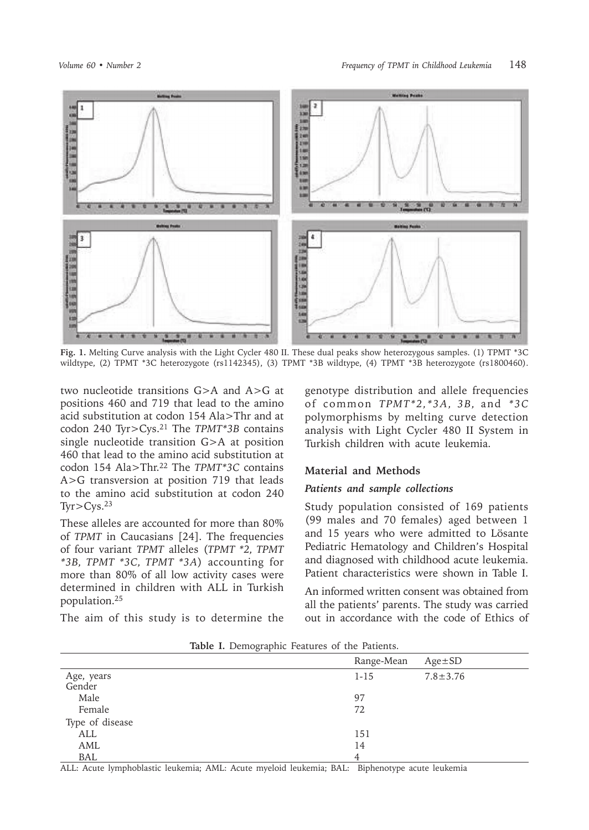

**Fig. 1.** Melting Curve analysis with the Light Cycler 480 II. These dual peaks show heterozygous samples. (1) TPMT \*3C wildtype, (2) TPMT \*3C heterozygote (rs1142345), (3) TPMT \*3B wildtype, (4) TPMT \*3B heterozygote (rs1800460).

two nucleotide transitions G>A and A>G at positions 460 and 719 that lead to the amino acid substitution at codon 154 Ala>Thr and at codon 240 Tyr>Cys.21 The *TPMT\*3B* contains single nucleotide transition G>A at position 460 that lead to the amino acid substitution at codon 154 Ala>Thr.22 The *TPMT\*3C* contains A>G transversion at position 719 that leads to the amino acid substitution at codon 240  $Tyr > Cys.$ <sup>23</sup>

These alleles are accounted for more than 80% of *TPMT* in Caucasians [24]. The frequencies of four variant *TPMT* alleles (*TPMT \*2, TPMT \*3B, TPMT \*3C, TPMT \*3A*) accounting for more than 80% of all low activity cases were determined in children with ALL in Turkish population.25

The aim of this study is to determine the

genotype distribution and allele frequencies of common *TPMT\*2,\*3A, 3B,* and *\*3C* polymorphisms by melting curve detection analysis with Light Cycler 480 II System in Turkish children with acute leukemia.

#### **Material and Methods**

### *Patients and sample collections*

Study population consisted of 169 patients (99 males and 70 females) aged between 1 and 15 years who were admitted to Lösante Pediatric Hematology and Children's Hospital and diagnosed with childhood acute leukemia. Patient characteristics were shown in Table I.

An informed written consent was obtained from all the patients' parents. The study was carried out in accordance with the code of Ethics of

|                      | Range-Mean | $Age \pm SD$   |
|----------------------|------------|----------------|
| Age, years<br>Gender | $1 - 15$   | $7.8 \pm 3.76$ |
|                      |            |                |
| Male                 | 97         |                |
| Female               | 72         |                |
| Type of disease      |            |                |
| ALL                  | 151        |                |
| AML                  | 14         |                |
| BAL                  | 4          |                |

**Table I.** Demographic Features of the Patients.

ALL: Acute lymphoblastic leukemia; AML: Acute myeloid leukemia; BAL:Biphenotype acute leukemia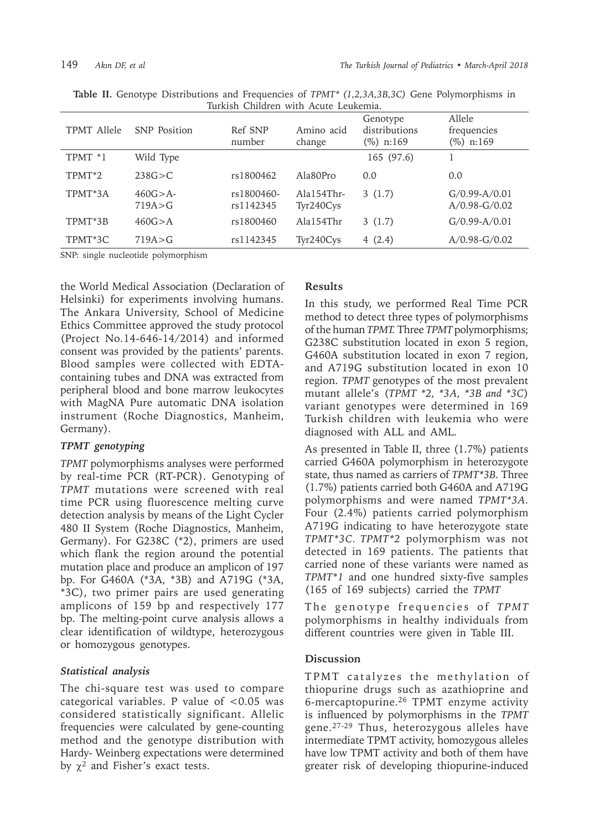| TPMT Allele        | <b>SNP</b> Position      | Ref SNP<br>number       | Amino acid<br>change      | Genotype<br>distributions<br>$(\%)$ n:169 | Allele<br>frequencies<br>(%) n:169 |
|--------------------|--------------------------|-------------------------|---------------------------|-------------------------------------------|------------------------------------|
| TPMT *1            | Wild Type                |                         |                           | 165 (97.6)                                |                                    |
| TPMT <sup>*2</sup> | 238G > C                 | rs1800462               | Ala80Pro                  | 0.0                                       | 0.0                                |
| TPMT*3A            | $460G > A -$<br>719A > G | rs1800460-<br>rs1142345 | $Ala154Thr-$<br>Tyr240Cys | 3(1.7)                                    | $G/0.99-A/0.01$<br>$A/0.98-G/0.02$ |
| TPMT*3B            | 460G > A                 | rs1800460               | Ala154Thr                 | 3(1.7)                                    | $G/0.99-A/0.01$                    |
| TPMT*3C            | 719A > G                 | rs1142345               | Tyr240Cys                 | 4(2.4)                                    | $A/0.98-G/0.02$                    |

**Table II.** Genotype Distributions and Frequencies of *TPMT\* (1,2,3A,3B,3C)* Gene Polymorphisms in Turkish Children with Acute Leukemia.

SNP: single nucleotide polymorphism

the World Medical Association (Declaration of Helsinki) for experiments involving humans. The Ankara University, School of Medicine Ethics Committee approved the study protocol (Project No.14-646-14/2014) and informed consent was provided by the patients' parents. Blood samples were collected with EDTAcontaining tubes and DNA was extracted from peripheral blood and bone marrow leukocytes with MagNA Pure automatic DNA isolation instrument (Roche Diagnostics, Manheim, Germany).

## *TPMT genotyping*

*TPMT* polymorphisms analyses were performed by real-time PCR (RT-PCR). Genotyping of *TPMT* mutations were screened with real time PCR using fluorescence melting curve detection analysis by means of the Light Cycler 480 II System (Roche Diagnostics, Manheim, Germany). For G238C (\*2), primers are used which flank the region around the potential mutation place and produce an amplicon of 197 bp. For G460A (\*3A, \*3B) and A719G (\*3A, \*3C), two primer pairs are used generating amplicons of 159 bp and respectively 177 bp. The melting-point curve analysis allows a clear identification of wildtype, heterozygous or homozygous genotypes.

# *Statistical analysis*

The chi-square test was used to compare categorical variables. P value of <0.05 was considered statistically significant. Allelic frequencies were calculated by gene-counting method and the genotype distribution with Hardy- Weinberg expectations were determined by  $\chi^2$  and Fisher's exact tests.

## **Results**

In this study, we performed Real Time PCR method to detect three types of polymorphisms of the human *TPMT.* Three *TPMT* polymorphisms; G238C substitution located in exon 5 region, G460A substitution located in exon 7 region, and A719G substitution located in exon 10 region. *TPMT* genotypes of the most prevalent mutant allele's (*TPMT \*2, \*3A, \*3B and \*3C*) variant genotypes were determined in 169 Turkish children with leukemia who were diagnosed with ALL and AML.

As presented in Table II, three (1.7%) patients carried G460A polymorphism in heterozygote state, thus named as carriers of *TPMT\*3B.* Three (1.7%) patients carried both G460A and A719G polymorphisms and were named *TPMT\*3A.* Four (2.4%) patients carried polymorphism A719G indicating to have heterozygote state *TPMT\*3C. TPMT\*2* polymorphism was not detected in 169 patients. The patients that carried none of these variants were named as *TPMT\*1* and one hundred sixty-five samples (165 of 169 subjects) carried the *TPMT*

The genotype frequencies of *TPMT* polymorphisms in healthy individuals from different countries were given in Table III.

# **Discussion**

TPMT catalyzes the methylation of thiopurine drugs such as azathioprine and 6-mercaptopurine.26 TPMT enzyme activity is influenced by polymorphisms in the *TPMT*  gene.27-29 Thus, heterozygous alleles have intermediate TPMT activity, homozygous alleles have low TPMT activity and both of them have greater risk of developing thiopurine-induced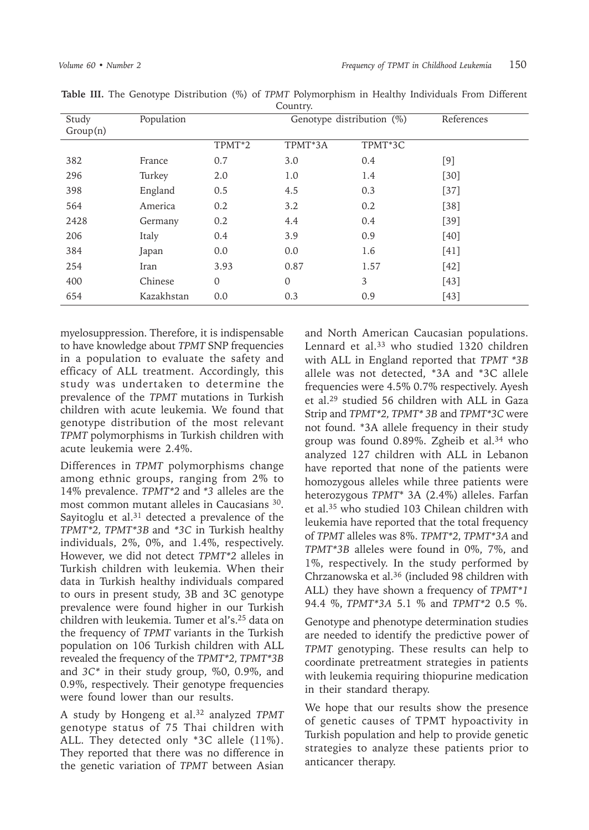| Study<br>Group(n) | Population | Genotype distribution (%) |              |         | References |
|-------------------|------------|---------------------------|--------------|---------|------------|
|                   |            | TPMT <sup>*2</sup>        | TPMT*3A      | TPMT*3C |            |
| 382               | France     | 0.7                       | 3.0          | 0.4     | [9]        |
| 296               | Turkey     | 2.0                       | 1.0          | 1.4     | $[30]$     |
| 398               | England    | 0.5                       | 4.5          | 0.3     | $[37]$     |
| 564               | America    | 0.2                       | 3.2          | 0.2     | $[38]$     |
| 2428              | Germany    | 0.2                       | 4.4          | 0.4     | $[39]$     |
| 206               | Italy      | 0.4                       | 3.9          | 0.9     | $[40]$     |
| 384               | Japan      | 0.0                       | 0.0          | 1.6     | $[41]$     |
| 254               | Iran       | 3.93                      | 0.87         | 1.57    | $[42]$     |
| 400               | Chinese    | $\mathbf{0}$              | $\mathbf{0}$ | 3       | $[43]$     |
| 654               | Kazakhstan | 0.0                       | 0.3          | 0.9     | [43]       |

**Table III.** The Genotype Distribution (%) of *TPMT* Polymorphism in Healthy Individuals From Different Country.

myelosuppression. Therefore, it is indispensable to have knowledge about *TPMT* SNP frequencies in a population to evaluate the safety and efficacy of ALL treatment. Accordingly, this study was undertaken to determine the prevalence of the *TPMT* mutations in Turkish children with acute leukemia. We found that genotype distribution of the most relevant *TPMT* polymorphisms in Turkish children with acute leukemia were 2.4%.

Differences in *TPMT* polymorphisms change among ethnic groups, ranging from 2% to 14% prevalence. *TPMT\*2* and *\*3* alleles are the most common mutant alleles in Caucasians 30. Sayitoglu et al. $31$  detected a prevalence of the *TPMT\*2, TPMT\*3B* and *\*3C* in Turkish healthy individuals, 2%, 0%, and 1.4%, respectively. However, we did not detect *TPMT\*2* alleles in Turkish children with leukemia. When their data in Turkish healthy individuals compared to ours in present study, 3B and 3C genotype prevalence were found higher in our Turkish children with leukemia. Tumer et al's.25 data on the frequency of *TPMT* variants in the Turkish population on 106 Turkish children with ALL revealed the frequency of the *TPMT\*2, TPMT\*3B*  and *3C\** in their study group, %0, 0.9%, and 0.9%, respectively. Their genotype frequencies were found lower than our results.

A study by Hongeng et al.32 analyzed *TPMT* genotype status of 75 Thai children with ALL. They detected only \*3C allele (11%). They reported that there was no difference in the genetic variation of *TPMT* between Asian

and North American Caucasian populations. Lennard et al.<sup>33</sup> who studied 1320 children with ALL in England reported that *TPMT \*3B* allele was not detected, \*3A and \*3C allele frequencies were 4.5% 0.7% respectively. Ayesh et al.29 studied 56 children with ALL in Gaza Strip and *TPMT\*2, TPMT\* 3B* and *TPMT\*3C* were not found. \*3A allele frequency in their study group was found 0.89%. Zgheib et al.34 who analyzed 127 children with ALL in Lebanon have reported that none of the patients were homozygous alleles while three patients were heterozygous *TPMT*\* 3A (2.4%) alleles. Farfan et al.35 who studied 103 Chilean children with leukemia have reported that the total frequency of *TPMT* alleles was 8%. *TPMT\*2, TPMT\*3A* and *TPMT\*3B* alleles were found in 0%, 7%, and 1%, respectively. In the study performed by Chrzanowska et al.36 (included 98 children with ALL) they have shown a frequency of *TPMT\*1* 94.4 %, *TPMT\*3A* 5.1 % and *TPMT\*2* 0.5 %.

Genotype and phenotype determination studies are needed to identify the predictive power of *TPMT* genotyping. These results can help to coordinate pretreatment strategies in patients with leukemia requiring thiopurine medication in their standard therapy.

We hope that our results show the presence of genetic causes of TPMT hypoactivity in Turkish population and help to provide genetic strategies to analyze these patients prior to anticancer therapy.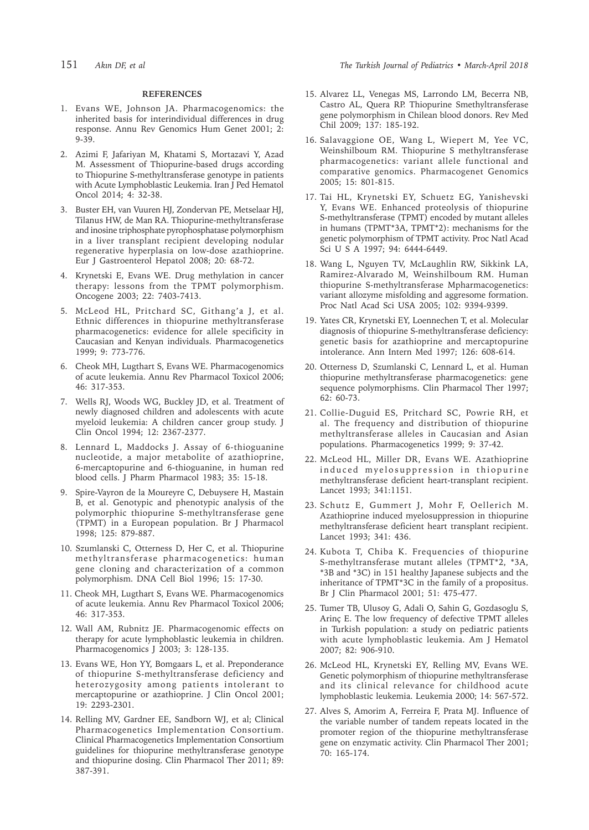#### **REFERENCES**

- 1. Evans WE, Johnson JA. Pharmacogenomics: the inherited basis for interindividual differences in drug response. Annu Rev Genomics Hum Genet 2001; 2: 9-39.
- 2. Azimi F, Jafariyan M, Khatami S, Mortazavi Y, Azad M. Assessment of Thiopurine-based drugs according to Thiopurine S-methyltransferase genotype in patients with Acute Lymphoblastic Leukemia. Iran J Ped Hematol Oncol 2014; 4: 32-38.
- 3. Buster EH, van Vuuren HJ, Zondervan PE, Metselaar HJ, Tilanus HW, de Man RA. Thiopurine-methyltransferase and inosine triphosphate pyrophosphatase polymorphism in a liver transplant recipient developing nodular regenerative hyperplasia on low-dose azathioprine. Eur J Gastroenterol Hepatol 2008; 20: 68-72.
- 4. Krynetski E, Evans WE. Drug methylation in cancer therapy: lessons from the TPMT polymorphism. Oncogene 2003; 22: 7403-7413.
- 5. McLeod HL, Pritchard SC, Githang'a J, et al. Ethnic differences in thiopurine methyltransferase pharmacogenetics: evidence for allele specificity in Caucasian and Kenyan individuals. Pharmacogenetics 1999; 9: 773-776.
- 6. Cheok MH, Lugthart S, Evans WE. Pharmacogenomics of acute leukemia. Annu Rev Pharmacol Toxicol 2006; 46: 317-353.
- 7. Wells RJ, Woods WG, Buckley JD, et al. Treatment of newly diagnosed children and adolescents with acute myeloid leukemia: A children cancer group study. J Clin Oncol 1994; 12: 2367-2377.
- 8. Lennard L, Maddocks J. Assay of 6-thioguanine nucleotide, a major metabolite of azathioprine, 6-mercaptopurine and 6-thioguanine, in human red blood cells. J Pharm Pharmacol 1983; 35: 15-18.
- 9. Spire-Vayron de la Moureyre C, Debuysere H, Mastain B, et al. Genotypic and phenotypic analysis of the polymorphic thiopurine S-methyltransferase gene (TPMT) in a European population. Br J Pharmacol 1998; 125: 879-887.
- 10. Szumlanski C, Otterness D, Her C, et al. Thiopurine methyltransferase pharmacogenetics: human gene cloning and characterization of a common polymorphism. DNA Cell Biol 1996; 15: 17-30.
- 11. Cheok MH, Lugthart S, Evans WE. Pharmacogenomics of acute leukemia. Annu Rev Pharmacol Toxicol 2006; 46: 317-353.
- 12. Wall AM, Rubnitz JE. Pharmacogenomic effects on therapy for acute lymphoblastic leukemia in children. Pharmacogenomics J 2003; 3: 128-135.
- 13. Evans WE, Hon YY, Bomgaars L, et al. Preponderance of thiopurine S-methyltransferase deficiency and heterozygosity among patients intolerant to mercaptopurine or azathioprine. J Clin Oncol 2001; 19: 2293-2301.
- 14. Relling MV, Gardner EE, Sandborn WJ, et al; Clinical Pharmacogenetics Implementation Consortium. Clinical Pharmacogenetics Implementation Consortium guidelines for thiopurine methyltransferase genotype and thiopurine dosing. Clin Pharmacol Ther 2011; 89: 387-391.
- 15. Alvarez LL, Venegas MS, Larrondo LM, Becerra NB, Castro AL, Quera RP. Thiopurine Smethyltransferase gene polymorphism in Chilean blood donors. Rev Med Chil 2009; 137: 185-192.
- 16. Salavaggione OE, Wang L, Wiepert M, Yee VC, Weinshilboum RM. Thiopurine S methyltransferase pharmacogenetics: variant allele functional and comparative genomics. Pharmacogenet Genomics 2005; 15: 801-815.
- 17. Tai HL, Krynetski EY, Schuetz EG, Yanishevski Y, Evans WE. Enhanced proteolysis of thiopurine S-methyltransferase (TPMT) encoded by mutant alleles in humans (TPMT\*3A, TPMT\*2): mechanisms for the genetic polymorphism of TPMT activity. Proc Natl Acad Sci U S A 1997; 94: 6444-6449.
- 18. Wang L, Nguyen TV, McLaughlin RW, Sikkink LA, Ramirez-Alvarado M, Weinshilboum RM. Human thiopurine S-methyltransferase Mpharmacogenetics: variant allozyme misfolding and aggresome formation. Proc Natl Acad Sci USA 2005; 102: 9394-9399.
- 19. Yates CR, Krynetski EY, Loennechen T, et al. Molecular diagnosis of thiopurine S-methyltransferase deficiency: genetic basis for azathioprine and mercaptopurine intolerance. Ann Intern Med 1997; 126: 608-614.
- 20. Otterness D, Szumlanski C, Lennard L, et al. Human thiopurine methyltransferase pharmacogenetics: gene sequence polymorphisms. Clin Pharmacol Ther 1997; 62: 60-73.
- 21. Collie-Duguid ES, Pritchard SC, Powrie RH, et al. The frequency and distribution of thiopurine methyltransferase alleles in Caucasian and Asian populations. Pharmacogenetics 1999; 9: 37-42.
- 22. McLeod HL, Miller DR, Evans WE. Azathioprine induced myelosuppression in thiopurine methyltransferase deficient heart-transplant recipient. Lancet 1993; 341:1151.
- 23. Schutz E, Gummert J, Mohr F, Oellerich M. Azathioprine induced myelosuppression in thiopurine methyltransferase deficient heart transplant recipient. Lancet 1993; 341: 436.
- 24. Kubota T, Chiba K. Frequencies of thiopurine S-methyltransferase mutant alleles (TPMT\*2, \*3A, \*3B and \*3C) in 151 healthy Japanese subjects and the inheritance of TPMT\*3C in the family of a propositus. Br J Clin Pharmacol 2001; 51: 475-477.
- 25. Tumer TB, Ulusoy G, Adali O, Sahin G, Gozdasoglu S, Arinç E. The low frequency of defective TPMT alleles in Turkish population: a study on pediatric patients with acute lymphoblastic leukemia. Am J Hematol 2007; 82: 906-910.
- 26. McLeod HL, Krynetski EY, Relling MV, Evans WE. Genetic polymorphism of thiopurine methyltransferase and its clinical relevance for childhood acute lymphoblastic leukemia. Leukemia 2000; 14: 567-572.
- 27. Alves S, Amorim A, Ferreira F, Prata MJ. Influence of the variable number of tandem repeats located in the promoter region of the thiopurine methyltransferase gene on enzymatic activity. Clin Pharmacol Ther 2001; 70: 165-174.